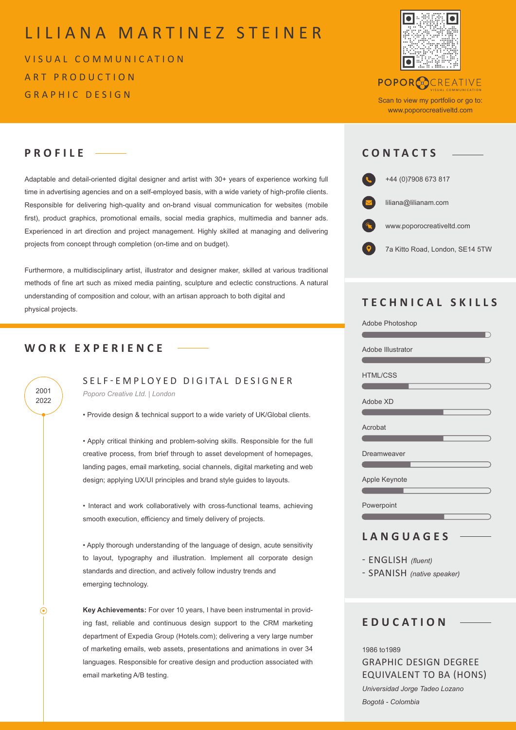# LILIANA MARTINEZ STEINER

VISUAL COMMUNICATION ART PRODUCTION GRAPHIC DESIGN



# **POPORCOCREATIVE**

Scan to view my portfolio or go to: www.poporocreativeltd.com

VISUAL COMMUNICATION

# **PROFILE CONTACTS**

Adaptable and detail-oriented digital designer and artist with 30+ years of experience working full time in advertising agencies and on a self-employed basis, with a wide variety of high-profile clients. Responsible for delivering high-quality and on-brand visual communication for websites (mobile first), product graphics, promotional emails, social media graphics, multimedia and banner ads. Experienced in art direction and project management. Highly skilled at managing and delivering projects from concept through completion (on-time and on budget).

Furthermore, a multidisciplinary artist, illustrator and designer maker, skilled at various traditional methods of fine art such as mixed media painting, sculpture and eclectic constructions. A natural understanding of composition and colour, with an artisan approach to both digital and physical projects.

## **WORK EXPERIENCE**

2022

 $\odot$ 

SELF-EMPLOYED DIGITAL DESIGNER *Poporo Creative Ltd. | London* 2001

• Provide design & technical support to a wide variety of UK/Global clients.

• Apply critical thinking and problem-solving skills. Responsible for the full creative process, from brief through to asset development of homepages, landing pages, email marketing, social channels, digital marketing and web design; applying UX/UI principles and brand style guides to layouts.

• Interact and work collaboratively with cross-functional teams, achieving smooth execution, efficiency and timely delivery of projects.

• Apply thorough understanding of the language of design, acute sensitivity to layout, typography and illustration. Implement all corporate design standards and direction, and actively follow industry trends and emerging technology.

**Key Achievements:** For over 10 years, I have been instrumental in providing fast, reliable and continuous design support to the CRM marketing department of Expedia Group (Hotels.com); delivering a very large number of marketing emails, web assets, presentations and animations in over 34 languages. Responsible for creative design and production associated with email marketing A/B testing.



# **TECHNICAL SKILLS**

| Adobe Photoshop   |
|-------------------|
|                   |
| Adobe Illustrator |
|                   |
| <b>HTML/CSS</b>   |
|                   |
| Adobe XD          |
|                   |
| Acrobat           |
|                   |
| Dreamweaver       |
|                   |
| Apple Keynote     |
|                   |
| Powerpoint        |
|                   |
|                   |
| LANGUAGES         |

- ENGLISH *(fluent)*

- SPANISH *(native speaker)*

# **EDUCATION**

1986 to1989 GRAPHIC DESIGN DEGREE EQUIVALENT TO BA (HONS) *Universidad Jorge Tadeo Lozano Bogotá - Colombia*